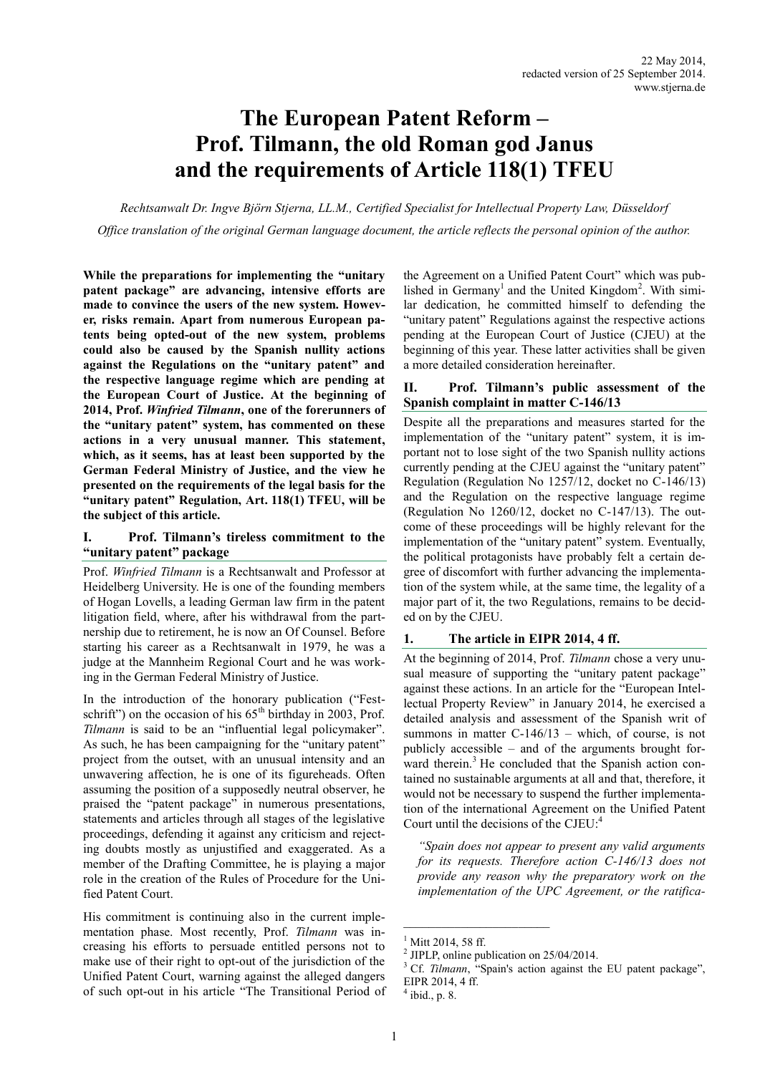# **The European Patent Reform – Prof. Tilmann, the old Roman god Janus and the requirements of Article 118(1) TFEU**

*Rechtsanwalt Dr. Ingve Björn Stjerna, LL.M., Certified Specialist for Intellectual Property Law, Düsseldorf Office translation of the original German language document, the article reflects the personal opinion of the author.*

**While the preparations for implementing the "unitary patent package" are advancing, intensive efforts are made to convince the users of the new system. However, risks remain. Apart from numerous European patents being opted-out of the new system, problems could also be caused by the Spanish nullity actions against the Regulations on the "unitary patent" and the respective language regime which are pending at the European Court of Justice. At the beginning of 2014, Prof.** *Winfried Tilmann***, one of the forerunners of the "unitary patent" system, has commented on these actions in a very unusual manner. This statement, which, as it seems, has at least been supported by the German Federal Ministry of Justice, and the view he presented on the requirements of the legal basis for the "unitary patent" Regulation, Art. 118(1) TFEU, will be the subject of this article.**

## **I. Prof. Tilmann's tireless commitment to the "unitary patent" package**

Prof. *Winfried Tilmann* is a Rechtsanwalt and Professor at Heidelberg University. He is one of the founding members of Hogan Lovells, a leading German law firm in the patent litigation field, where, after his withdrawal from the partnership due to retirement, he is now an Of Counsel. Before starting his career as a Rechtsanwalt in 1979, he was a judge at the Mannheim Regional Court and he was working in the German Federal Ministry of Justice.

In the introduction of the honorary publication ("Festschrift") on the occasion of his  $65<sup>th</sup>$  birthday in 2003, Prof. *Tilmann* is said to be an "influential legal policymaker". As such, he has been campaigning for the "unitary patent" project from the outset, with an unusual intensity and an unwavering affection, he is one of its figureheads. Often assuming the position of a supposedly neutral observer, he praised the "patent package" in numerous presentations, statements and articles through all stages of the legislative proceedings, defending it against any criticism and rejecting doubts mostly as unjustified and exaggerated. As a member of the Drafting Committee, he is playing a major role in the creation of the Rules of Procedure for the Unified Patent Court.

His commitment is continuing also in the current implementation phase. Most recently, Prof. *Tilmann* was increasing his efforts to persuade entitled persons not to make use of their right to opt-out of the jurisdiction of the Unified Patent Court, warning against the alleged dangers of such opt-out in his article "The Transitional Period of the Agreement on a Unified Patent Court" which was published in Germany<sup>1</sup> and the United Kingdom<sup>2</sup>. With similar dedication, he committed himself to defending the "unitary patent" Regulations against the respective actions pending at the European Court of Justice (CJEU) at the beginning of this year. These latter activities shall be given a more detailed consideration hereinafter.

# **II. Prof. Tilmann's public assessment of the Spanish complaint in matter C-146/13**

Despite all the preparations and measures started for the implementation of the "unitary patent" system, it is important not to lose sight of the two Spanish nullity actions currently pending at the CJEU against the "unitary patent" Regulation (Regulation No 1257/12, docket no C-146/13) and the Regulation on the respective language regime (Regulation No 1260/12, docket no C-147/13). The outcome of these proceedings will be highly relevant for the implementation of the "unitary patent" system. Eventually, the political protagonists have probably felt a certain degree of discomfort with further advancing the implementation of the system while, at the same time, the legality of a major part of it, the two Regulations, remains to be decided on by the CJEU.

# **1. The article in EIPR 2014, 4 ff.**

At the beginning of 2014, Prof. *Tilmann* chose a very unusual measure of supporting the "unitary patent package" against these actions. In an article for the "European Intellectual Property Review" in January 2014, he exercised a detailed analysis and assessment of the Spanish writ of summons in matter C-146/13 – which, of course, is not publicly accessible – and of the arguments brought forward therein.<sup>3</sup> He concluded that the Spanish action contained no sustainable arguments at all and that, therefore, it would not be necessary to suspend the further implementation of the international Agreement on the Unified Patent Court until the decisions of the CJEU:<sup>4</sup>

*"Spain does not appear to present any valid arguments for its requests. Therefore action C-146/13 does not provide any reason why the preparatory work on the implementation of the UPC Agreement, or the ratifica-*

 $\mathcal{L}_\text{max}$ 

 $^{1}$  Mitt 2014, 58 ff.

<sup>2</sup> JIPLP, online publication on 25/04/2014.

<sup>&</sup>lt;sup>3</sup> Cf. *Tilmann*, "Spain's action against the EU patent package", EIPR 2014, 4 ff.

<sup>4</sup> ibid., p. 8.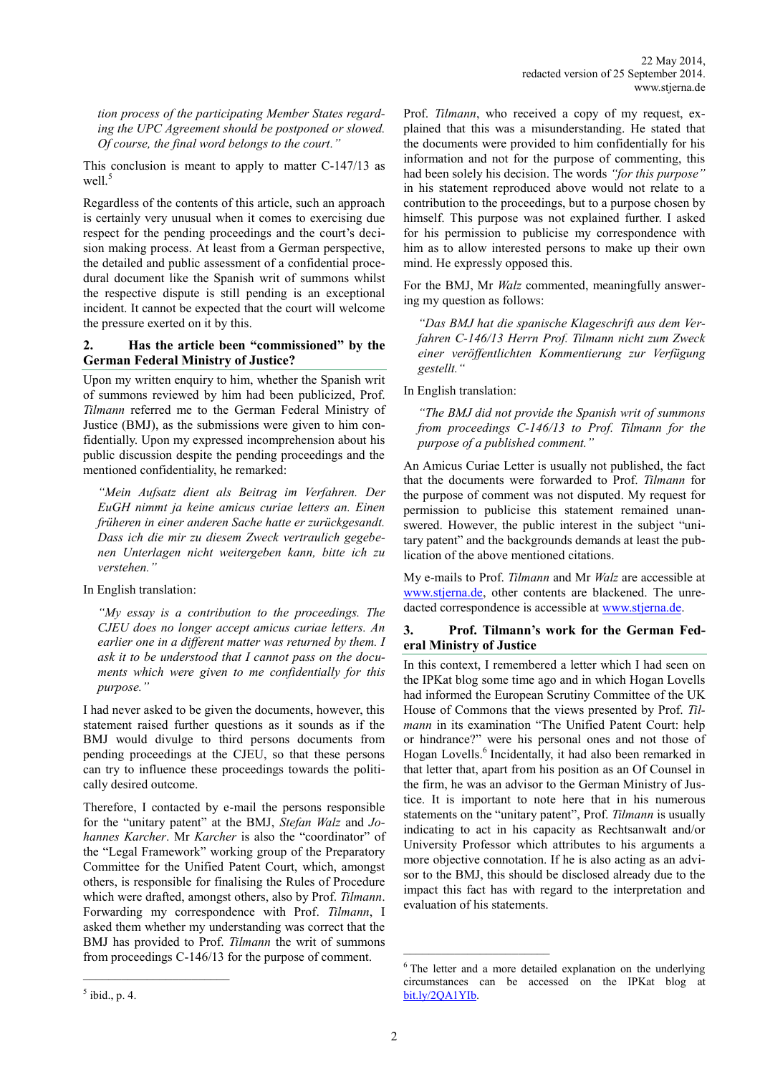*tion process of the participating Member States regarding the UPC Agreement should be postponed or slowed. Of course, the final word belongs to the court."*

This conclusion is meant to apply to matter C-147/13 as well $\frac{5}{5}$ 

Regardless of the contents of this article, such an approach is certainly very unusual when it comes to exercising due respect for the pending proceedings and the court's decision making process. At least from a German perspective, the detailed and public assessment of a confidential procedural document like the Spanish writ of summons whilst the respective dispute is still pending is an exceptional incident. It cannot be expected that the court will welcome the pressure exerted on it by this.

## **2. Has the article been "commissioned" by the German Federal Ministry of Justice?**

Upon my written enquiry to him, whether the Spanish writ of summons reviewed by him had been publicized, Prof. *Tilmann* referred me to the German Federal Ministry of Justice (BMJ), as the submissions were given to him confidentially. Upon my expressed incomprehension about his public discussion despite the pending proceedings and the mentioned confidentiality, he remarked:

*"Mein Aufsatz dient als Beitrag im Verfahren. Der EuGH nimmt ja keine amicus curiae letters an. Einen früheren in einer anderen Sache hatte er zurückgesandt. Dass ich die mir zu diesem Zweck vertraulich gegebenen Unterlagen nicht weitergeben kann, bitte ich zu verstehen."*

In English translation:

*"My essay is a contribution to the proceedings. The CJEU does no longer accept amicus curiae letters. An earlier one in a different matter was returned by them. I ask it to be understood that I cannot pass on the documents which were given to me confidentially for this purpose."*

I had never asked to be given the documents, however, this statement raised further questions as it sounds as if the BMJ would divulge to third persons documents from pending proceedings at the CJEU, so that these persons can try to influence these proceedings towards the politically desired outcome.

Therefore, I contacted by e-mail the persons responsible for the "unitary patent" at the BMJ, *Stefan Walz* and *Johannes Karcher*. Mr *Karcher* is also the "coordinator" of the "Legal Framework" working group of the Preparatory Committee for the Unified Patent Court, which, amongst others, is responsible for finalising the Rules of Procedure which were drafted, amongst others, also by Prof. *Tilmann*. Forwarding my correspondence with Prof. *Tilmann*, I asked them whether my understanding was correct that the BMJ has provided to Prof. *Tilmann* the writ of summons from proceedings C-146/13 for the purpose of comment.

 $<sup>5</sup>$  ibid., p. 4.</sup>

Prof. *Tilmann*, who received a copy of my request, explained that this was a misunderstanding. He stated that the documents were provided to him confidentially for his information and not for the purpose of commenting, this had been solely his decision. The words *"for this purpose"* in his statement reproduced above would not relate to a contribution to the proceedings, but to a purpose chosen by himself. This purpose was not explained further. I asked for his permission to publicise my correspondence with him as to allow interested persons to make up their own mind. He expressly opposed this.

For the BMJ, Mr *Walz* commented, meaningfully answering my question as follows:

*"Das BMJ hat die spanische Klageschrift aus dem Verfahren C-146/13 Herrn Prof. Tilmann nicht zum Zweck einer veröffentlichten Kommentierung zur Verfügung gestellt."*

In English translation:

*"The BMJ did not provide the Spanish writ of summons from proceedings C-146/13 to Prof. Tilmann for the purpose of a published comment."*

An Amicus Curiae Letter is usually not published, the fact that the documents were forwarded to Prof. *Tilmann* for the purpose of comment was not disputed. My request for permission to publicise this statement remained unanswered. However, the public interest in the subject "unitary patent" and the backgrounds demands at least the publication of the above mentioned citations.

My e-mails to Prof. *Tilmann* and Mr *Walz* are accessible at [www.stjerna.de,](http://www.stjerna.de/new-problems/?lang=en) other contents are blackened. The unredacted correspondence is accessible at [www.stjerna.de.](http://www.stjerna.de/cypriot-compromise/?lang=en)

## **3. Prof. Tilmann's work for the German Federal Ministry of Justice**

In this context, I remembered a letter which I had seen on the IPKat blog some time ago and in which Hogan Lovells had informed the European Scrutiny Committee of the UK House of Commons that the views presented by Prof. *Tilmann* in its examination "The Unified Patent Court: help or hindrance?" were his personal ones and not those of Hogan Lovells.<sup>6</sup> Incidentally, it had also been remarked in that letter that, apart from his position as an Of Counsel in the firm, he was an advisor to the German Ministry of Justice. It is important to note here that in his numerous statements on the "unitary patent", Prof. *Tilmann* is usually indicating to act in his capacity as Rechtsanwalt and/or University Professor which attributes to his arguments a more objective connotation. If he is also acting as an advisor to the BMJ, this should be disclosed already due to the impact this fact has with regard to the interpretation and evaluation of his statements.

\_\_\_\_\_\_\_\_\_\_\_\_\_\_\_\_\_\_\_\_\_\_\_

<sup>&</sup>lt;sup>6</sup> The letter and a more detailed explanation on the underlying circumstances can be accessed on the IPKat blog at [bit.ly/2QA1YIb.](https://bit.ly/3jrAhha)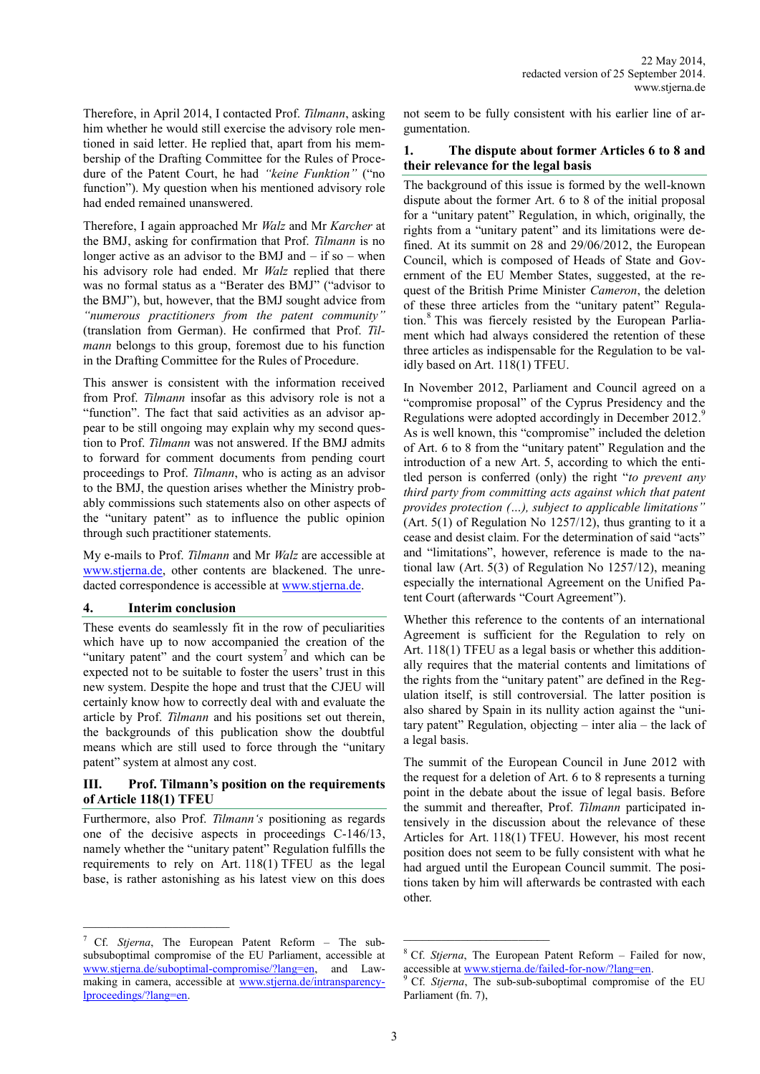Therefore, in April 2014, I contacted Prof. *Tilmann*, asking him whether he would still exercise the advisory role mentioned in said letter. He replied that, apart from his membership of the Drafting Committee for the Rules of Procedure of the Patent Court, he had *"keine Funktion"* ("no function"). My question when his mentioned advisory role had ended remained unanswered.

Therefore, I again approached Mr *Walz* and Mr *Karcher* at the BMJ, asking for confirmation that Prof. *Tilmann* is no longer active as an advisor to the BMJ and  $-$  if so  $-$  when his advisory role had ended. Mr *Walz* replied that there was no formal status as a "Berater des BMJ" ("advisor to the BMJ"), but, however, that the BMJ sought advice from *"numerous practitioners from the patent community"* (translation from German). He confirmed that Prof. *Tilmann* belongs to this group, foremost due to his function in the Drafting Committee for the Rules of Procedure.

This answer is consistent with the information received from Prof. *Tilmann* insofar as this advisory role is not a "function". The fact that said activities as an advisor appear to be still ongoing may explain why my second question to Prof. *Tilmann* was not answered. If the BMJ admits to forward for comment documents from pending court proceedings to Prof. *Tilmann*, who is acting as an advisor to the BMJ, the question arises whether the Ministry probably commissions such statements also on other aspects of the "unitary patent" as to influence the public opinion through such practitioner statements.

My e-mails to Prof. *Tilmann* and Mr *Walz* are accessible at [www.stjerna.de,](http://www.stjerna.de/new-problems/?lang=en) other contents are blackened. The unredacted correspondence is accessible at [www.stjerna.de.](http://www.stjerna.de/cypriot-compromise/?lang=en)

## **4. Interim conclusion**

 $\mathcal{L}_\text{max}$ 

These events do seamlessly fit in the row of peculiarities which have up to now accompanied the creation of the "unitary patent" and the court system<sup>7</sup> and which can be expected not to be suitable to foster the users' trust in this new system. Despite the hope and trust that the CJEU will certainly know how to correctly deal with and evaluate the article by Prof. *Tilmann* and his positions set out therein, the backgrounds of this publication show the doubtful means which are still used to force through the "unitary patent" system at almost any cost.

## **III. Prof. Tilmann's position on the requirements of Article 118(1) TFEU**

Furthermore, also Prof. *Tilmann's* positioning as regards one of the decisive aspects in proceedings C-146/13, namely whether the "unitary patent" Regulation fulfills the requirements to rely on Art. 118(1) TFEU as the legal base, is rather astonishing as his latest view on this does

<sup>7</sup> Cf. *Stjerna*, The European Patent Reform – The subsubsuboptimal compromise of the EU Parliament, accessible at [www.stjerna.de/suboptimal](http://www.stjerna.de/suboptimal-compromise/?lang=en)-compromise/?lang=en, and Lawmaking in camera, accessible at [www.stjerna.de/intransparency](http://www.stjerna.de/intransparency-lproceedings/?lang=en)[lproceedings/?lang=en.](http://www.stjerna.de/intransparency-lproceedings/?lang=en)

not seem to be fully consistent with his earlier line of argumentation.

## **1. The dispute about former Articles 6 to 8 and their relevance for the legal basis**

The background of this issue is formed by the well-known dispute about the former Art. 6 to 8 of the initial proposal for a "unitary patent" Regulation, in which, originally, the rights from a "unitary patent" and its limitations were defined. At its summit on 28 and 29/06/2012, the European Council, which is composed of Heads of State and Government of the EU Member States, suggested, at the request of the British Prime Minister *Cameron*, the deletion of these three articles from the "unitary patent" Regulation. <sup>8</sup> This was fiercely resisted by the European Parliament which had always considered the retention of these three articles as indispensable for the Regulation to be validly based on Art. 118(1) TFEU.

In November 2012, Parliament and Council agreed on a "compromise proposal" of the Cyprus Presidency and the Regulations were adopted accordingly in December 2012.<sup>9</sup> As is well known, this "compromise" included the deletion of Art. 6 to 8 from the "unitary patent" Regulation and the introduction of a new Art. 5, according to which the entitled person is conferred (only) the right "*to prevent any third party from committing acts against which that patent provides protection (…), subject to applicable limitations"* (Art. 5(1) of Regulation No 1257/12), thus granting to it a cease and desist claim. For the determination of said "acts" and "limitations", however, reference is made to the national law (Art. 5(3) of Regulation No 1257/12), meaning especially the international Agreement on the Unified Patent Court (afterwards "Court Agreement").

Whether this reference to the contents of an international Agreement is sufficient for the Regulation to rely on Art. 118(1) TFEU as a legal basis or whether this additionally requires that the material contents and limitations of the rights from the "unitary patent" are defined in the Regulation itself, is still controversial. The latter position is also shared by Spain in its nullity action against the "unitary patent" Regulation, objecting – inter alia – the lack of a legal basis.

The summit of the European Council in June 2012 with the request for a deletion of Art. 6 to 8 represents a turning point in the debate about the issue of legal basis. Before the summit and thereafter, Prof. *Tilmann* participated intensively in the discussion about the relevance of these Articles for Art. 118(1) TFEU. However, his most recent position does not seem to be fully consistent with what he had argued until the European Council summit. The positions taken by him will afterwards be contrasted with each other.

 $\mathcal{L}_\text{max}$ 

<sup>8</sup> Cf. *Stjerna*, The European Patent Reform – Failed for now, accessible at [www.stjerna.de/failed](http://www.stjerna.de/failed-for-now/?lang=en)-for-now/?lang=en.

<sup>9</sup> Cf. *Stjerna*, The sub-sub-suboptimal compromise of the EU Parliament (fn. 7),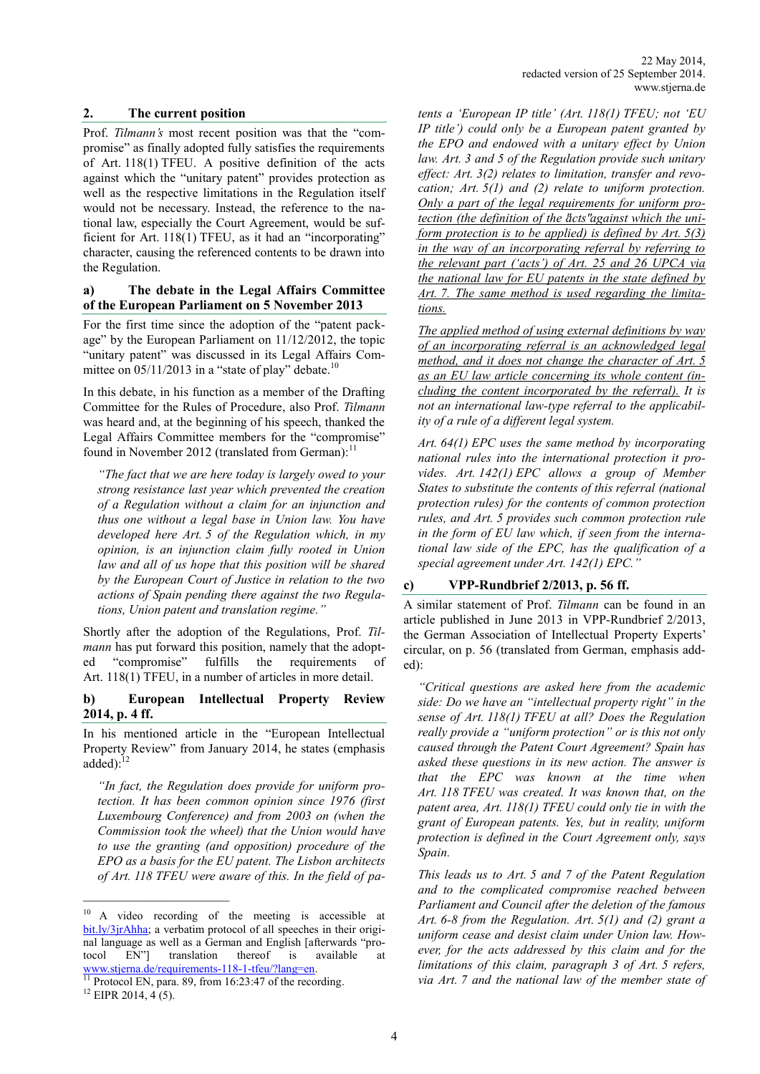#### **2. The current position**

Prof. *Tilmann's* most recent position was that the "compromise" as finally adopted fully satisfies the requirements of Art. 118(1) TFEU. A positive definition of the acts against which the "unitary patent" provides protection as well as the respective limitations in the Regulation itself would not be necessary. Instead, the reference to the national law, especially the Court Agreement, would be sufficient for Art. 118(1) TFEU, as it had an "incorporating" character, causing the referenced contents to be drawn into the Regulation.

## **a) The debate in the Legal Affairs Committee of the European Parliament on 5 November 2013**

For the first time since the adoption of the "patent package" by the European Parliament on 11/12/2012, the topic "unitary patent" was discussed in its Legal Affairs Committee on  $05/11/2013$  in a "state of play" debate.<sup>10</sup>

In this debate, in his function as a member of the Drafting Committee for the Rules of Procedure, also Prof. *Tilmann* was heard and, at the beginning of his speech, thanked the Legal Affairs Committee members for the "compromise" found in November 2012 (translated from German):<sup>11</sup>

*"The fact that we are here today is largely owed to your strong resistance last year which prevented the creation of a Regulation without a claim for an injunction and thus one without a legal base in Union law. You have developed here Art. 5 of the Regulation which, in my opinion, is an injunction claim fully rooted in Union*  law and all of us hope that this position will be shared *by the European Court of Justice in relation to the two actions of Spain pending there against the two Regulations, Union patent and translation regime."*

Shortly after the adoption of the Regulations, Prof. *Tilmann* has put forward this position, namely that the adopted "compromise" fulfills the requirements of Art. 118(1) TFEU, in a number of articles in more detail.

## **b) European Intellectual Property Review 2014, p. 4 ff.**

In his mentioned article in the "European Intellectual Property Review" from January 2014, he states (emphasis added):<sup>12</sup>

*"In fact, the Regulation does provide for uniform protection. It has been common opinion since 1976 (first Luxembourg Conference) and from 2003 on (when the Commission took the wheel) that the Union would have to use the granting (and opposition) procedure of the EPO as a basis for the EU patent. The Lisbon architects of Art. 118 TFEU were aware of this. In the field of pa-*

*tents a 'European IP title' (Art. 118(1) TFEU; not 'EU IP title') could only be a European patent granted by the EPO and endowed with a unitary effect by Union law. Art. 3 and 5 of the Regulation provide such unitary effect: Art. 3(2) relates to limitation, transfer and revocation; Art. 5(1) and (2) relate to uniform protection. Only a part of the legal requirements for uniform protection (the definition of the "acts" against which the uniform protection is to be applied) is defined by Art. 5(3) in the way of an incorporating referral by referring to the relevant part ('acts') of Art. 25 and 26 UPCA via the national law for EU patents in the state defined by Art. 7. The same method is used regarding the limitations.*

*The applied method of using external definitions by way of an incorporating referral is an acknowledged legal method, and it does not change the character of Art. 5 as an EU law article concerning its whole content (including the content incorporated by the referral). It is not an international law-type referral to the applicability of a rule of a different legal system.*

*Art. 64(1) EPC uses the same method by incorporating national rules into the international protection it provides. Art. 142(1) EPC allows a group of Member States to substitute the contents of this referral (national protection rules) for the contents of common protection rules, and Art. 5 provides such common protection rule in the form of EU law which, if seen from the international law side of the EPC, has the qualification of a special agreement under Art. 142(1) EPC."*

## **c) VPP-Rundbrief 2/2013, p. 56 ff.**

A similar statement of Prof. *Tilmann* can be found in an article published in June 2013 in VPP-Rundbrief 2/2013, the German Association of Intellectual Property Experts' circular, on p. 56 (translated from German, emphasis added):

*"Critical questions are asked here from the academic side: Do we have an "intellectual property right" in the sense of Art. 118(1) TFEU at all? Does the Regulation really provide a "uniform protection" or is this not only caused through the Patent Court Agreement? Spain has asked these questions in its new action. The answer is that the EPC was known at the time when Art. 118 TFEU was created. It was known that, on the patent area, Art. 118(1) TFEU could only tie in with the grant of European patents. Yes, but in reality, uniform protection is defined in the Court Agreement only, says Spain.*

*This leads us to Art. 5 and 7 of the Patent Regulation and to the complicated compromise reached between Parliament and Council after the deletion of the famous Art. 6-8 from the Regulation. Art. 5(1) and (2) grant a uniform cease and desist claim under Union law. However, for the acts addressed by this claim and for the limitations of this claim, paragraph 3 of Art. 5 refers, via Art. 7 and the national law of the member state of* 

<sup>10</sup> A video recording of the meeting is accessible at [bit.ly/3jrAhha;](https://bit.ly/3jrAhha) a verbatim protocol of all speeches in their original language as well as a German and English [afterwards "protocol EN"] translation thereof is available at [www.stjerna.de/requirements](http://www.stjerna.de/requirements-118-1-tfeu/?lang=en)-118-1-tfeu/?lang=en.

Protocol EN, para. 89, from 16:23:47 of the recording. <sup>12</sup> EIPR 2014, 4 (5).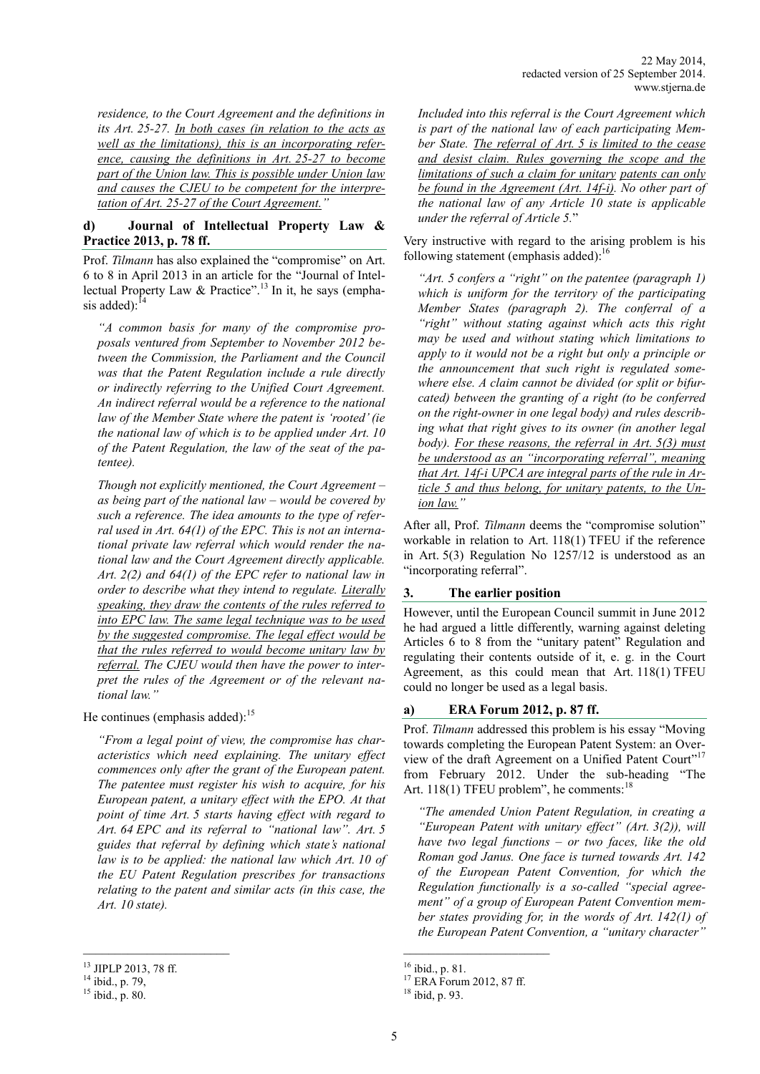*residence, to the Court Agreement and the definitions in its Art. 25-27. In both cases (in relation to the acts as well as the limitations), this is an incorporating reference, causing the definitions in Art. 25-27 to become part of the Union law. This is possible under Union law and causes the CJEU to be competent for the interpretation of Art. 25-27 of the Court Agreement."*

# **d) Journal of Intellectual Property Law & Practice 2013, p. 78 ff.**

Prof. *Tilmann* has also explained the "compromise" on Art. 6 to 8 in April 2013 in an article for the "Journal of Intellectual Property Law & Practice".<sup>13</sup> In it, he says (emphasis added): $^{14}$ 

*"A common basis for many of the compromise proposals ventured from September to November 2012 between the Commission, the Parliament and the Council was that the Patent Regulation include a rule directly or indirectly referring to the Unified Court Agreement. An indirect referral would be a reference to the national law of the Member State where the patent is 'rooted' (ie the national law of which is to be applied under Art. 10 of the Patent Regulation, the law of the seat of the patentee).* 

*Though not explicitly mentioned, the Court Agreement* – *as being part of the national law* – *would be covered by such a reference. The idea amounts to the type of referral used in Art. 64(1) of the EPC. This is not an international private law referral which would render the national law and the Court Agreement directly applicable. Art. 2(2) and 64(1) of the EPC refer to national law in order to describe what they intend to regulate. Literally speaking, they draw the contents of the rules referred to into EPC law. The same legal technique was to be used by the suggested compromise. The legal effect would be that the rules referred to would become unitary law by referral. The CJEU would then have the power to interpret the rules of the Agreement or of the relevant national law."*

He continues (emphasis added):<sup>15</sup>

*"From a legal point of view, the compromise has characteristics which need explaining. The unitary effect commences only after the grant of the European patent. The patentee must register his wish to acquire, for his European patent, a unitary effect with the EPO. At that point of time Art. 5 starts having effect with regard to Art. 64 EPC and its referral to "national law". Art. 5 guides that referral by defining which state's national law is to be applied: the national law which Art. 10 of the EU Patent Regulation prescribes for transactions relating to the patent and similar acts (in this case, the Art. 10 state).*

\_\_\_\_\_\_\_\_\_\_\_\_\_\_\_\_\_\_\_\_\_\_\_

*Included into this referral is the Court Agreement which is part of the national law of each participating Member State. The referral of Art. 5 is limited to the cease and desist claim. Rules governing the scope and the limitations of such a claim for unitary patents can only be found in the Agreement (Art. 14f-i). No other part of the national law of any Article 10 state is applicable under the referral of Article 5.*"

Very instructive with regard to the arising problem is his following statement (emphasis added):<sup>16</sup>

*"Art. 5 confers a "right" on the patentee (paragraph 1) which is uniform for the territory of the participating Member States (paragraph 2). The conferral of a "right" without stating against which acts this right may be used and without stating which limitations to apply to it would not be a right but only a principle or the announcement that such right is regulated somewhere else. A claim cannot be divided (or split or bifurcated) between the granting of a right (to be conferred on the right-owner in one legal body) and rules describing what that right gives to its owner (in another legal body). For these reasons, the referral in Art. 5(3) must be understood as an "incorporating referral", meaning that Art. 14f-i UPCA are integral parts of the rule in Article 5 and thus belong, for unitary patents, to the Union law."*

After all, Prof. *Tilmann* deems the "compromise solution" workable in relation to Art. 118(1) TFEU if the reference in Art. 5(3) Regulation No 1257/12 is understood as an "incorporating referral".

## **3. The earlier position**

However, until the European Council summit in June 2012 he had argued a little differently, warning against deleting Articles 6 to 8 from the "unitary patent" Regulation and regulating their contents outside of it, e. g. in the Court Agreement, as this could mean that Art. 118(1) TFEU could no longer be used as a legal basis.

# **a) ERA Forum 2012, p. 87 ff.**

Prof. *Tilmann* addressed this problem is his essay "Moving towards completing the European Patent System: an Overview of the draft Agreement on a Unified Patent Court"<sup>17</sup> from February 2012. Under the sub-heading "The Art. 118(1) TFEU problem", he comments:<sup>18</sup>

*"The amended Union Patent Regulation, in creating a "European Patent with unitary effect" (Art. 3(2)), will have two legal functions* – *or two faces, like the old Roman god Janus. One face is turned towards Art. 142 of the European Patent Convention, for which the Regulation functionally is a so-called "special agreement" of a group of European Patent Convention member states providing for, in the words of Art. 142(1) of the European Patent Convention, a "unitary character"* 

\_\_\_\_\_\_\_\_\_\_\_\_\_\_\_\_\_\_\_\_\_\_\_

<sup>13</sup> JIPLP 2013, 78 ff.

 $14$  ibid., p. 79,

<sup>15</sup> ibid., p. 80.

<sup>16</sup> ibid., p. 81.

<sup>&</sup>lt;sup>17</sup> ERA Forum 2012, 87 ff.

<sup>18</sup> ibid, p. 93.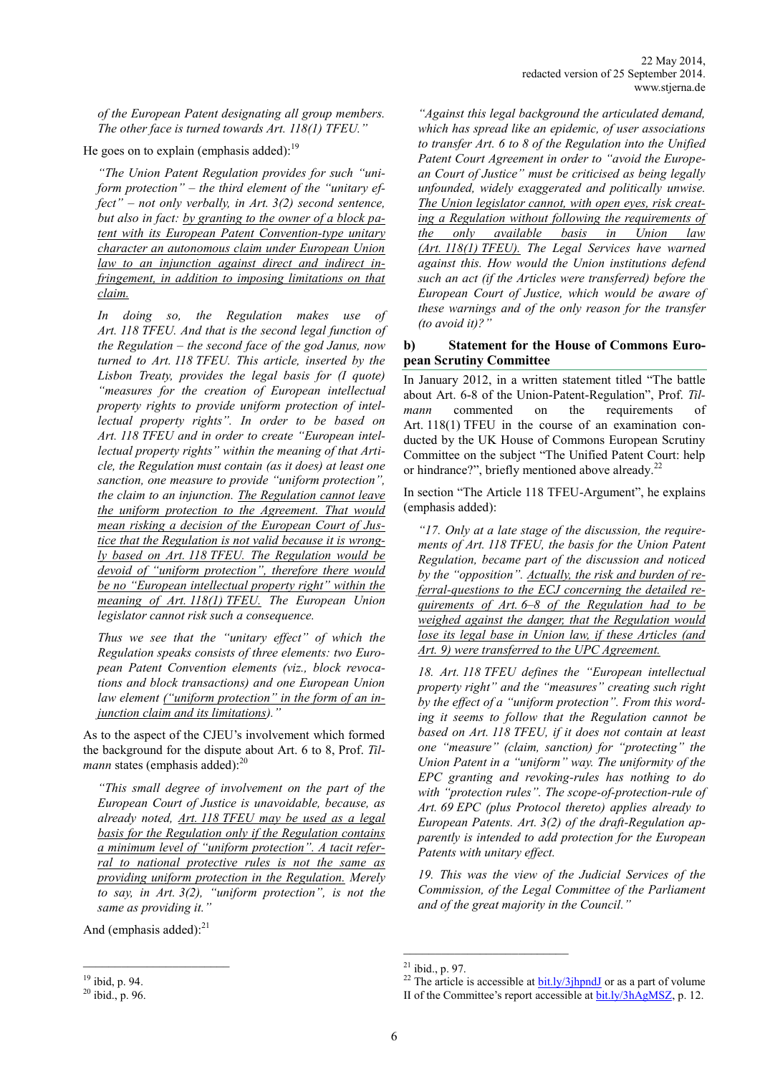*of the European Patent designating all group members. The other face is turned towards Art. 118(1) TFEU."*

He goes on to explain (emphasis added):  $19$ 

*"The Union Patent Regulation provides for such "uniform protection"* – *the third element of the "unitary effect"* – *not only verbally, in Art. 3(2) second sentence, but also in fact: by granting to the owner of a block patent with its European Patent Convention-type unitary character an autonomous claim under European Union law to an injunction against direct and indirect infringement, in addition to imposing limitations on that claim.*

*In doing so, the Regulation makes use of Art. 118 TFEU. And that is the second legal function of the Regulation* – *the second face of the god Janus, now turned to Art. 118 TFEU. This article, inserted by the Lisbon Treaty, provides the legal basis for (I quote) "measures for the creation of European intellectual property rights to provide uniform protection of intellectual property rights". In order to be based on Art. 118 TFEU and in order to create "European intellectual property rights" within the meaning of that Article, the Regulation must contain (as it does) at least one sanction, one measure to provide "uniform protection", the claim to an injunction. The Regulation cannot leave the uniform protection to the Agreement. That would mean risking a decision of the European Court of Justice that the Regulation is not valid because it is wrongly based on Art. 118 TFEU. The Regulation would be devoid of "uniform protection", therefore there would be no "European intellectual property right" within the meaning of Art. 118(1) TFEU. The European Union legislator cannot risk such a consequence.*

*Thus we see that the "unitary effect" of which the Regulation speaks consists of three elements: two European Patent Convention elements (viz., block revocations and block transactions) and one European Union law element ("uniform protection" in the form of an injunction claim and its limitations)."*

As to the aspect of the CJEU's involvement which formed the background for the dispute about Art. 6 to 8, Prof. *Tilmann* states (emphasis added):<sup>20</sup>

*"This small degree of involvement on the part of the European Court of Justice is unavoidable, because, as already noted, Art. 118 TFEU may be used as a legal basis for the Regulation only if the Regulation contains a minimum level of "uniform protection". A tacit referral to national protective rules is not the same as providing uniform protection in the Regulation. Merely to say, in Art. 3(2), "uniform protection", is not the same as providing it."*

And (emphasis added): $^{21}$ 

*"Against this legal background the articulated demand, which has spread like an epidemic, of user associations to transfer Art. 6 to 8 of the Regulation into the Unified Patent Court Agreement in order to "avoid the European Court of Justice" must be criticised as being legally unfounded, widely exaggerated and politically unwise. The Union legislator cannot, with open eyes, risk creating a Regulation without following the requirements of the only available basis in Union law (Art. 118(1) TFEU). The Legal Services have warned against this. How would the Union institutions defend such an act (if the Articles were transferred) before the European Court of Justice, which would be aware of these warnings and of the only reason for the transfer (to avoid it)?"*

## **b) Statement for the House of Commons European Scrutiny Committee**

In January 2012, in a written statement titled "The battle about Art. 6-8 of the Union-Patent-Regulation", Prof. *Tilmann* commented on the requirements of Art. 118(1) TFEU in the course of an examination conducted by the UK House of Commons European Scrutiny Committee on the subject "The Unified Patent Court: help or hindrance?", briefly mentioned above already.<sup>22</sup>

In section "The Article 118 TFEU-Argument", he explains (emphasis added):

*"17. Only at a late stage of the discussion, the requirements of Art. 118 TFEU, the basis for the Union Patent Regulation, became part of the discussion and noticed by the "opposition". Actually, the risk and burden of referral-questions to the ECJ concerning the detailed requirements of Art. 6–8 of the Regulation had to be weighed against the danger, that the Regulation would lose its legal base in Union law, if these Articles (and Art. 9) were transferred to the UPC Agreement.*

*18. Art. 118 TFEU defines the "European intellectual property right" and the "measures" creating such right by the effect of a "uniform protection". From this wording it seems to follow that the Regulation cannot be based on Art. 118 TFEU, if it does not contain at least one "measure" (claim, sanction) for "protecting" the Union Patent in a "uniform" way. The uniformity of the EPC granting and revoking-rules has nothing to do with "protection rules". The scope-of-protection-rule of Art. 69 EPC (plus Protocol thereto) applies already to European Patents. Art. 3(2) of the draft-Regulation apparently is intended to add protection for the European Patents with unitary effect.*

*19. This was the view of the Judicial Services of the Commission, of the Legal Committee of the Parliament and of the great majority in the Council."*

\_\_\_\_\_\_\_\_\_\_\_\_\_\_\_\_\_\_\_\_\_\_\_\_\_\_

<sup>19</sup> ibid, p. 94.

<sup>20</sup> ibid., p. 96.

<sup>21</sup> ibid., p. 97.

<sup>&</sup>lt;sup>22</sup> The article is accessible at  $\frac{bit \cdot ly}{3}$  or as a part of volume II of the Committee's report accessible a[t bit.ly/3hAgMSZ,](https://bit.ly/3hAgMSZ) p. 12.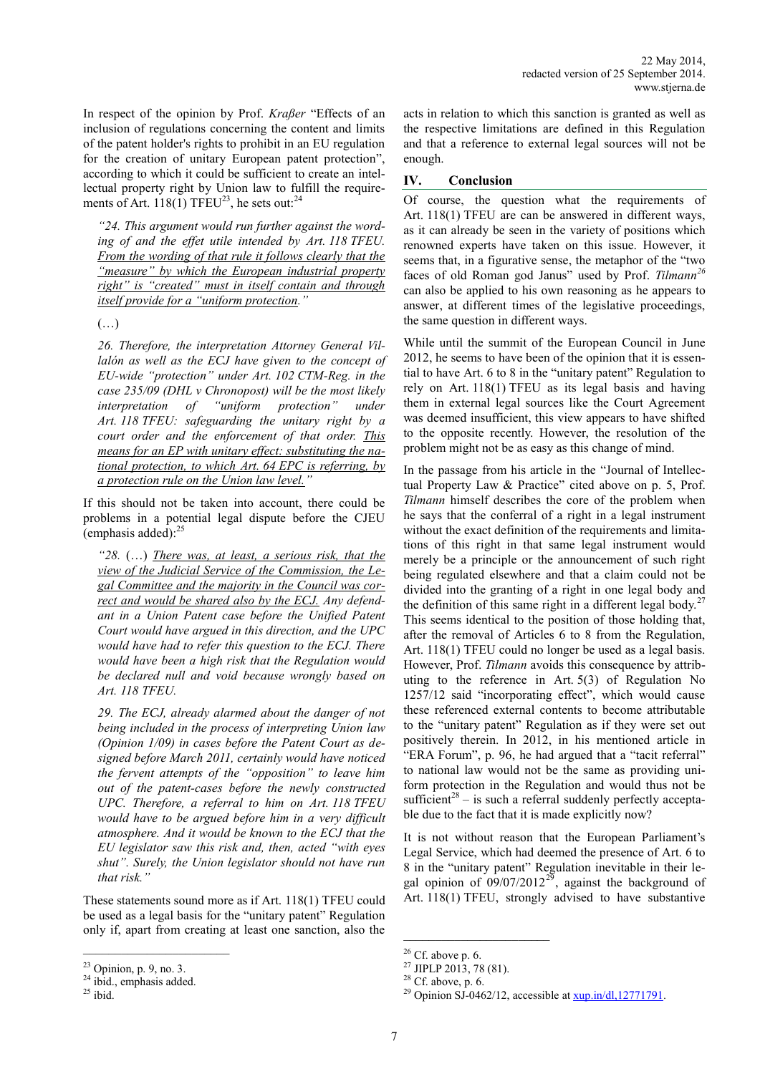In respect of the opinion by Prof. *Kraßer* "Effects of an inclusion of regulations concerning the content and limits of the patent holder's rights to prohibit in an EU regulation for the creation of unitary European patent protection", according to which it could be sufficient to create an intellectual property right by Union law to fulfill the requirements of Art.  $118(1)$  TFEU<sup>23</sup>, he sets out:<sup>24</sup>

*"24. This argument would run further against the wording of and the effet utile intended by Art. 118 TFEU. From the wording of that rule it follows clearly that the "measure" by which the European industrial property right" is "created" must in itself contain and through itself provide for a "uniform protection."*

(…)

*26. Therefore, the interpretation Attorney General Villalón as well as the ECJ have given to the concept of EU-wide "protection" under Art. 102 CTM-Reg. in the case 235/09 (DHL v Chronopost) will be the most likely interpretation of "uniform protection" under Art. 118 TFEU: safeguarding the unitary right by a court order and the enforcement of that order. This means for an EP with unitary effect: substituting the national protection, to which Art. 64 EPC is referring, by a protection rule on the Union law level."*

If this should not be taken into account, there could be problems in a potential legal dispute before the CJEU (emphasis added): $^{25}$ 

*"28.* (…) *There was, at least, a serious risk, that the view of the Judicial Service of the Commission, the Legal Committee and the majority in the Council was correct and would be shared also by the ECJ. Any defendant in a Union Patent case before the Unified Patent Court would have argued in this direction, and the UPC would have had to refer this question to the ECJ. There would have been a high risk that the Regulation would be declared null and void because wrongly based on Art. 118 TFEU.*

*29. The ECJ, already alarmed about the danger of not being included in the process of interpreting Union law (Opinion 1/09) in cases before the Patent Court as designed before March 2011, certainly would have noticed the fervent attempts of the "opposition" to leave him out of the patent-cases before the newly constructed UPC. Therefore, a referral to him on Art. 118 TFEU would have to be argued before him in a very difficult atmosphere. And it would be known to the ECJ that the EU legislator saw this risk and, then, acted "with eyes shut". Surely, the Union legislator should not have run that risk."*

These statements sound more as if Art. 118(1) TFEU could be used as a legal basis for the "unitary patent" Regulation only if, apart from creating at least one sanction, also the

\_\_\_\_\_\_\_\_\_\_\_\_\_\_\_\_\_\_\_\_\_\_\_

acts in relation to which this sanction is granted as well as the respective limitations are defined in this Regulation and that a reference to external legal sources will not be enough.

## **IV. Conclusion**

Of course, the question what the requirements of Art. 118(1) TFEU are can be answered in different ways, as it can already be seen in the variety of positions which renowned experts have taken on this issue. However, it seems that, in a figurative sense, the metaphor of the "two faces of old Roman god Janus" used by Prof. *Tilmann<sup>26</sup>* can also be applied to his own reasoning as he appears to answer, at different times of the legislative proceedings, the same question in different ways.

While until the summit of the European Council in June 2012, he seems to have been of the opinion that it is essential to have Art. 6 to 8 in the "unitary patent" Regulation to rely on Art. 118(1) TFEU as its legal basis and having them in external legal sources like the Court Agreement was deemed insufficient, this view appears to have shifted to the opposite recently. However, the resolution of the problem might not be as easy as this change of mind.

In the passage from his article in the "Journal of Intellectual Property Law & Practice" cited above on p. 5, Prof. *Tilmann* himself describes the core of the problem when he says that the conferral of a right in a legal instrument without the exact definition of the requirements and limitations of this right in that same legal instrument would merely be a principle or the announcement of such right being regulated elsewhere and that a claim could not be divided into the granting of a right in one legal body and the definition of this same right in a different legal body.<sup>27</sup> This seems identical to the position of those holding that, after the removal of Articles 6 to 8 from the Regulation, Art. 118(1) TFEU could no longer be used as a legal basis. However, Prof. *Tilmann* avoids this consequence by attributing to the reference in Art. 5(3) of Regulation No 1257/12 said "incorporating effect", which would cause these referenced external contents to become attributable to the "unitary patent" Regulation as if they were set out positively therein. In 2012, in his mentioned article in "ERA Forum", p. 96, he had argued that a "tacit referral" to national law would not be the same as providing uniform protection in the Regulation and would thus not be sufficient<sup>28</sup> – is such a referral suddenly perfectly acceptable due to the fact that it is made explicitly now?

It is not without reason that the European Parliament's Legal Service, which had deemed the presence of Art. 6 to 8 in the "unitary patent" Regulation inevitable in their legal opinion of  $09/07/2012^{29}$ , against the background of Art. 118(1) TFEU, strongly advised to have substantive

 $\mathcal{L}_\text{max}$ 

 $23$  Opinion, p. 9, no. 3.

 $24$  ibid., emphasis added.

 $25$  ibid.

 $26$  Cf. above p. 6.

<sup>&</sup>lt;sup>27</sup> JIPLP 2013, 78 (81).

 $28$  Cf. above, p. 6.

<sup>&</sup>lt;sup>29</sup> Opinion SJ-0462/12, accessible at  $xup.in/dl,12771791$ .